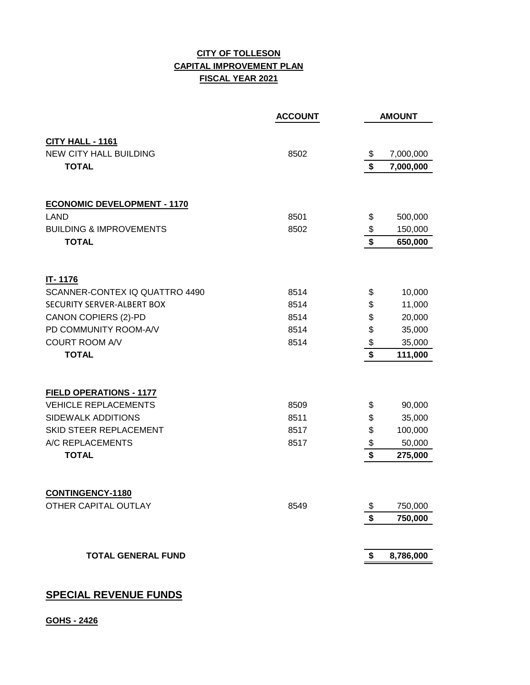## **CITY OF TOLLESON CAPITAL IMPROVEMENT PLAN FISCAL YEAR 2021**

|                                                   | <b>ACCOUNT</b> |                                      | <b>AMOUNT</b> |
|---------------------------------------------------|----------------|--------------------------------------|---------------|
|                                                   |                |                                      |               |
| CITY HALL - 1161<br><b>NEW CITY HALL BUILDING</b> | 8502           | \$                                   | 7,000,000     |
| <b>TOTAL</b>                                      |                | \$                                   | 7,000,000     |
|                                                   |                |                                      |               |
| <b>ECONOMIC DEVELOPMENT - 1170</b>                |                |                                      |               |
| <b>LAND</b>                                       | 8501           | \$                                   | 500,000       |
| <b>BUILDING &amp; IMPROVEMENTS</b>                | 8502           | $\boldsymbol{\$}$                    | 150,000       |
| <b>TOTAL</b>                                      |                | \$                                   | 650,000       |
|                                                   |                |                                      |               |
| IT-1176                                           |                |                                      |               |
| SCANNER-CONTEX IQ QUATTRO 4490                    | 8514           | \$                                   | 10,000        |
| SECURITY SERVER-ALBERT BOX                        | 8514           | \$                                   | 11,000        |
| <b>CANON COPIERS (2)-PD</b>                       | 8514           | \$                                   | 20,000        |
| PD COMMUNITY ROOM-A/V                             | 8514           | \$                                   | 35,000        |
| <b>COURT ROOM A/V</b>                             | 8514           | \$                                   | 35,000        |
| <b>TOTAL</b>                                      |                | \$                                   | 111,000       |
|                                                   |                |                                      |               |
| <b>FIELD OPERATIONS - 1177</b>                    |                |                                      |               |
| <b>VEHICLE REPLACEMENTS</b>                       | 8509           | \$                                   | 90,000        |
| SIDEWALK ADDITIONS                                | 8511           | \$                                   | 35,000        |
| SKID STEER REPLACEMENT                            | 8517           | \$                                   | 100,000       |
| A/C REPLACEMENTS                                  | 8517           | $\frac{1}{2}$                        | 50,000        |
| <b>TOTAL</b>                                      |                | $\overline{\boldsymbol{\mathsf{s}}}$ | 275,000       |
|                                                   |                |                                      |               |
| <b>CONTINGENCY-1180</b>                           |                |                                      |               |
| OTHER CAPITAL OUTLAY                              | 8549           | \$                                   | 750,000       |
|                                                   |                | \$                                   | 750,000       |
| <b>TOTAL GENERAL FUND</b>                         |                | \$                                   | 8,786,000     |
|                                                   |                |                                      |               |

## **SPECIAL REVENUE FUNDS**

**GOHS - 2426**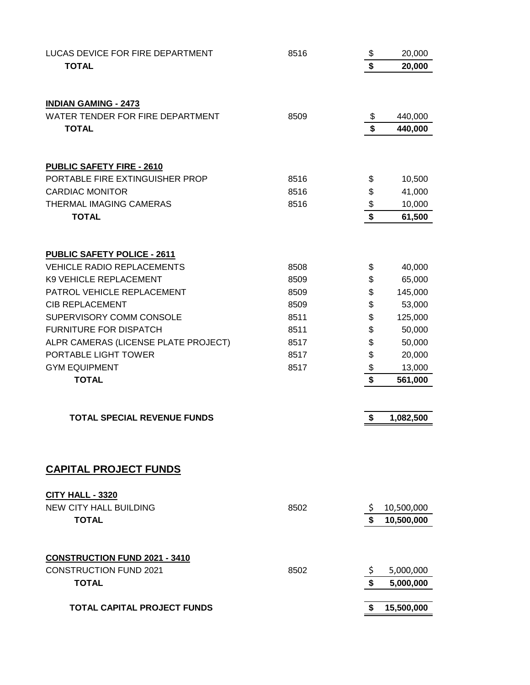| LUCAS DEVICE FOR FIRE DEPARTMENT                                        | 8516         | \$       | 20,000     |
|-------------------------------------------------------------------------|--------------|----------|------------|
| <b>TOTAL</b>                                                            |              | \$       | 20,000     |
|                                                                         |              |          |            |
| <b>INDIAN GAMING - 2473</b>                                             |              |          |            |
| WATER TENDER FOR FIRE DEPARTMENT                                        | 8509         | \$       | 440,000    |
| <b>TOTAL</b>                                                            |              | \$       | 440,000    |
|                                                                         |              |          |            |
|                                                                         |              |          |            |
| <b>PUBLIC SAFETY FIRE - 2610</b>                                        |              |          |            |
| PORTABLE FIRE EXTINGUISHER PROP<br><b>CARDIAC MONITOR</b>               | 8516<br>8516 | \$<br>\$ | 10,500     |
| THERMAL IMAGING CAMERAS                                                 |              |          | 41,000     |
| <b>TOTAL</b>                                                            | 8516         | \$<br>\$ | 10,000     |
|                                                                         |              |          | 61,500     |
|                                                                         |              |          |            |
| <b>PUBLIC SAFETY POLICE - 2611</b><br><b>VEHICLE RADIO REPLACEMENTS</b> |              |          |            |
| K9 VEHICLE REPLACEMENT                                                  | 8508         | \$       | 40,000     |
|                                                                         | 8509<br>8509 | \$       | 65,000     |
| PATROL VEHICLE REPLACEMENT<br><b>CIB REPLACEMENT</b>                    |              | \$       | 145,000    |
|                                                                         | 8509         | \$       | 53,000     |
| SUPERVISORY COMM CONSOLE                                                | 8511         | \$       | 125,000    |
| FURNITURE FOR DISPATCH                                                  | 8511         | \$       | 50,000     |
| ALPR CAMERAS (LICENSE PLATE PROJECT)                                    | 8517         | \$       | 50,000     |
| PORTABLE LIGHT TOWER                                                    | 8517         | \$       | 20,000     |
| <b>GYM EQUIPMENT</b>                                                    | 8517         | \$<br>\$ | 13,000     |
| <b>TOTAL</b>                                                            |              |          | 561,000    |
| <b>TOTAL SPECIAL REVENUE FUNDS</b>                                      |              |          |            |
|                                                                         |              | \$       | 1,082,500  |
|                                                                         |              |          |            |
| <b>CAPITAL PROJECT FUNDS</b>                                            |              |          |            |
| <b>CITY HALL - 3320</b>                                                 |              |          |            |
| <b>NEW CITY HALL BUILDING</b>                                           | 8502         | Ş.       | 10,500,000 |
| <b>TOTAL</b>                                                            |              | \$       | 10,500,000 |
|                                                                         |              |          |            |
| <b>CONSTRUCTION FUND 2021 - 3410</b>                                    |              |          |            |
| <b>CONSTRUCTION FUND 2021</b>                                           | 8502         | Ş.       | 5,000,000  |
| <b>TOTAL</b>                                                            |              | \$       | 5,000,000  |
|                                                                         |              |          |            |
| <b>TOTAL CAPITAL PROJECT FUNDS</b>                                      |              | \$       | 15,500,000 |
|                                                                         |              |          |            |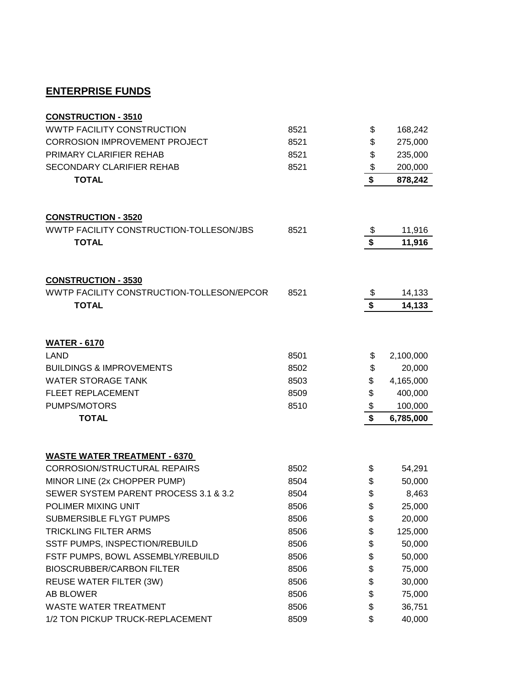## **ENTERPRISE FUNDS**

| <b>CONSTRUCTION - 3510</b>                |      |                                        |           |
|-------------------------------------------|------|----------------------------------------|-----------|
| <b>WWTP FACILITY CONSTRUCTION</b>         | 8521 | \$                                     | 168,242   |
| <b>CORROSION IMPROVEMENT PROJECT</b>      | 8521 | \$                                     | 275,000   |
| PRIMARY CLARIFIER REHAB                   | 8521 | \$                                     | 235,000   |
| SECONDARY CLARIFIER REHAB                 | 8521 | \$                                     | 200,000   |
| <b>TOTAL</b>                              |      | \$                                     | 878,242   |
| <b>CONSTRUCTION - 3520</b>                |      |                                        |           |
| WWTP FACILITY CONSTRUCTION-TOLLESON/JBS   | 8521 | \$                                     | 11,916    |
| <b>TOTAL</b>                              |      | $\overline{\boldsymbol{\mathsf{s}}}$   | 11,916    |
|                                           |      |                                        |           |
| <b>CONSTRUCTION - 3530</b>                |      |                                        |           |
| WWTP FACILITY CONSTRUCTION-TOLLESON/EPCOR | 8521 | \$                                     | 14,133    |
| <b>TOTAL</b>                              |      | $\overline{\boldsymbol{\mathfrak{s}}}$ | 14,133    |
|                                           |      |                                        |           |
| <b>WATER - 6170</b>                       |      |                                        |           |
| <b>LAND</b>                               | 8501 | \$                                     | 2,100,000 |
| <b>BUILDINGS &amp; IMPROVEMENTS</b>       | 8502 | \$                                     | 20,000    |
| <b>WATER STORAGE TANK</b>                 | 8503 | \$                                     | 4,165,000 |
| FLEET REPLACEMENT                         | 8509 | \$                                     | 400,000   |
| PUMPS/MOTORS                              | 8510 | \$                                     | 100,000   |
| <b>TOTAL</b>                              |      | $\overline{\boldsymbol{\mathsf{s}}}$   | 6,785,000 |
| <b>WASTE WATER TREATMENT - 6370</b>       |      |                                        |           |
| <b>CORROSION/STRUCTURAL REPAIRS</b>       | 8502 | \$                                     | 54,291    |
| MINOR LINE (2x CHOPPER PUMP)              | 8504 | \$                                     | 50,000    |
| SEWER SYSTEM PARENT PROCESS 3.1 & 3.2     | 8504 | \$                                     | 8,463     |
| POLIMER MIXING UNIT                       | 8506 | \$                                     | 25,000    |
| <b>SUBMERSIBLE FLYGT PUMPS</b>            | 8506 | \$                                     | 20,000    |
| TRICKLING FILTER ARMS                     | 8506 | \$                                     | 125,000   |
| SSTF PUMPS, INSPECTION/REBUILD            | 8506 | \$                                     | 50,000    |
| FSTF PUMPS, BOWL ASSEMBLY/REBUILD         | 8506 | \$                                     | 50,000    |
| <b>BIOSCRUBBER/CARBON FILTER</b>          | 8506 | \$                                     | 75,000    |
| REUSE WATER FILTER (3W)                   | 8506 | \$                                     | 30,000    |
| AB BLOWER                                 | 8506 | \$                                     | 75,000    |
| <b>WASTE WATER TREATMENT</b>              | 8506 | \$                                     | 36,751    |
| 1/2 TON PICKUP TRUCK-REPLACEMENT          | 8509 | \$                                     | 40,000    |